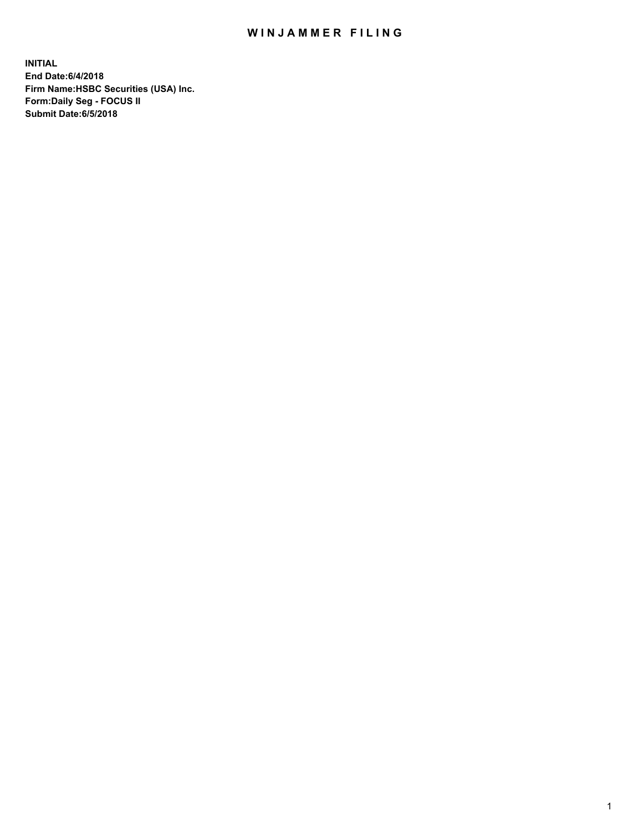## WIN JAMMER FILING

**INITIAL End Date:6/4/2018 Firm Name:HSBC Securities (USA) Inc. Form:Daily Seg - FOCUS II Submit Date:6/5/2018**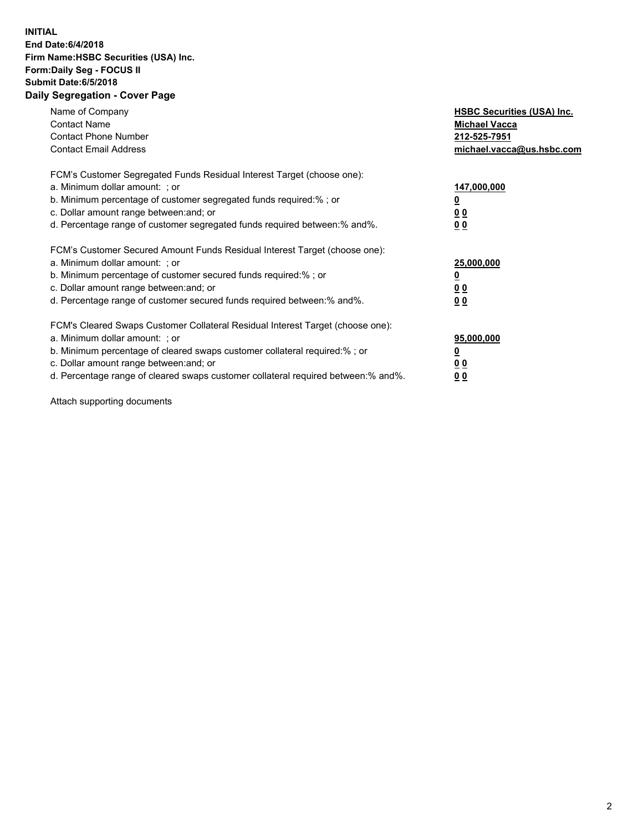## **INITIAL End Date:6/4/2018 Firm Name:HSBC Securities (USA) Inc. Form:Daily Seg - FOCUS II Submit Date:6/5/2018 Daily Segregation - Cover Page**

| Name of Company<br><b>Contact Name</b><br><b>Contact Phone Number</b><br><b>Contact Email Address</b>                                                                                                                                                                                                                          | <b>HSBC Securities (USA) Inc.</b><br><b>Michael Vacca</b><br>212-525-7951<br>michael.vacca@us.hsbc.com |
|--------------------------------------------------------------------------------------------------------------------------------------------------------------------------------------------------------------------------------------------------------------------------------------------------------------------------------|--------------------------------------------------------------------------------------------------------|
| FCM's Customer Segregated Funds Residual Interest Target (choose one):<br>a. Minimum dollar amount: ; or<br>b. Minimum percentage of customer segregated funds required:%; or<br>c. Dollar amount range between: and; or<br>d. Percentage range of customer segregated funds required between:% and%.                          | 147,000,000<br><u>0</u><br><u>00</u><br>00                                                             |
| FCM's Customer Secured Amount Funds Residual Interest Target (choose one):<br>a. Minimum dollar amount: ; or<br>b. Minimum percentage of customer secured funds required:%; or<br>c. Dollar amount range between: and; or<br>d. Percentage range of customer secured funds required between:% and%.                            | 25,000,000<br><u>0</u><br><u>00</u><br>00                                                              |
| FCM's Cleared Swaps Customer Collateral Residual Interest Target (choose one):<br>a. Minimum dollar amount: ; or<br>b. Minimum percentage of cleared swaps customer collateral required:% ; or<br>c. Dollar amount range between: and; or<br>d. Percentage range of cleared swaps customer collateral required between:% and%. | 95,000,000<br><u>0</u><br><u>00</u><br>0 <sub>0</sub>                                                  |

Attach supporting documents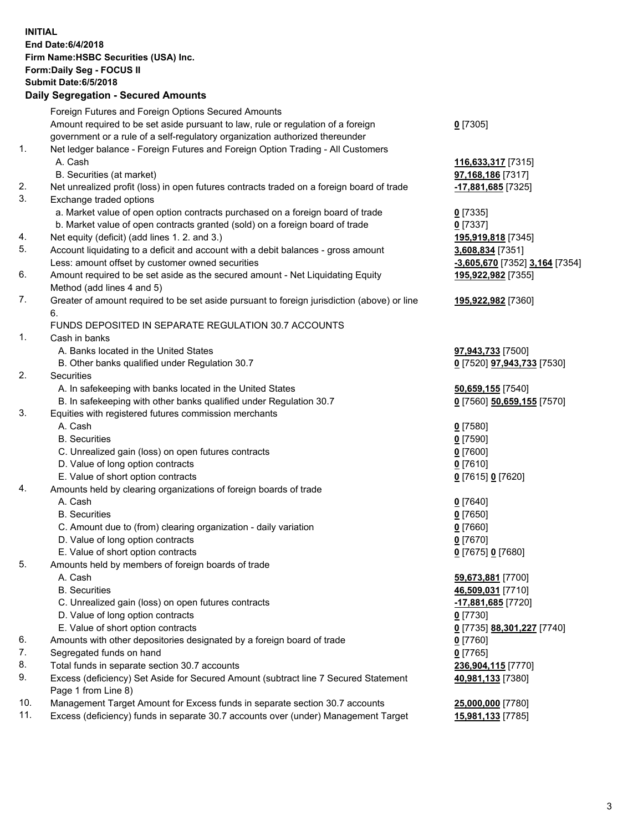**INITIAL End Date:6/4/2018 Firm Name:HSBC Securities (USA) Inc. Form:Daily Seg - FOCUS II Submit Date:6/5/2018 Daily Segregation - Secured Amounts** Foreign Futures and Foreign Options Secured Amounts Amount required to be set aside pursuant to law, rule or regulation of a foreign government or a rule of a self-regulatory organization authorized thereunder **0** [7305] 1. Net ledger balance - Foreign Futures and Foreign Option Trading - All Customers A. Cash **116,633,317** [7315] B. Securities (at market) **97,168,186** [7317] 2. Net unrealized profit (loss) in open futures contracts traded on a foreign board of trade **-17,881,685** [7325] 3. Exchange traded options a. Market value of open option contracts purchased on a foreign board of trade **0** [7335] b. Market value of open contracts granted (sold) on a foreign board of trade **0** [7337] 4. Net equity (deficit) (add lines 1. 2. and 3.) **195,919,818** [7345] 5. Account liquidating to a deficit and account with a debit balances - gross amount **3,608,834** [7351] Less: amount offset by customer owned securities **-3,605,670** [7352] **3,164** [7354] 6. Amount required to be set aside as the secured amount - Net Liquidating Equity Method (add lines 4 and 5) **195,922,982** [7355] 7. Greater of amount required to be set aside pursuant to foreign jurisdiction (above) or line 6. **195,922,982** [7360] FUNDS DEPOSITED IN SEPARATE REGULATION 30.7 ACCOUNTS 1. Cash in banks A. Banks located in the United States **97,943,733** [7500] B. Other banks qualified under Regulation 30.7 **0** [7520] **97,943,733** [7530] 2. Securities A. In safekeeping with banks located in the United States **50,659,155** [7540] B. In safekeeping with other banks qualified under Regulation 30.7 **0** [7560] **50,659,155** [7570] 3. Equities with registered futures commission merchants A. Cash **0** [7580] B. Securities **0** [7590] C. Unrealized gain (loss) on open futures contracts **0** [7600] D. Value of long option contracts **0** [7610] E. Value of short option contracts **0** [7615] **0** [7620] 4. Amounts held by clearing organizations of foreign boards of trade A. Cash **0** [7640] B. Securities **0** [7650] C. Amount due to (from) clearing organization - daily variation **0** [7660] D. Value of long option contracts **0** [7670] E. Value of short option contracts **0** [7675] **0** [7680] 5. Amounts held by members of foreign boards of trade A. Cash **59,673,881** [7700] B. Securities **46,509,031** [7710] C. Unrealized gain (loss) on open futures contracts **and the set of the set of the set of the set of the set of the set of the set of the set of the set of the set of the set of the set of the set of the set of the set of**  D. Value of long option contracts **0** [7730] E. Value of short option contracts **0** [7735] **88,301,227** [7740] 6. Amounts with other depositories designated by a foreign board of trade **0** [7760] 7. Segregated funds on hand **0** [7765] 8. Total funds in separate section 30.7 accounts **236,904,115** [7770] 9. Excess (deficiency) Set Aside for Secured Amount (subtract line 7 Secured Statement Page 1 from Line 8) **40,981,133** [7380] 10. Management Target Amount for Excess funds in separate section 30.7 accounts **25,000,000** [7780] 11. Excess (deficiency) funds in separate 30.7 accounts over (under) Management Target **15,981,133** [7785]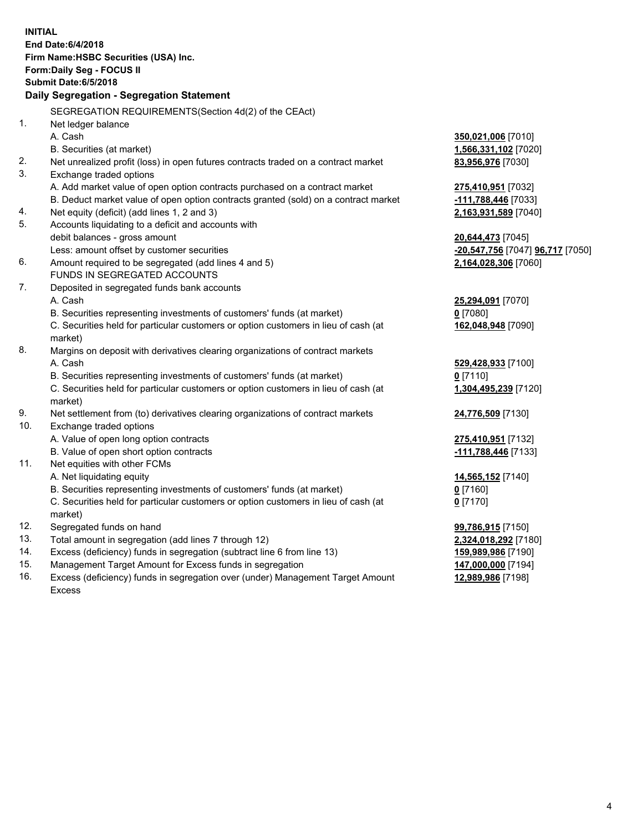| <b>INITIAL</b><br>End Date: 6/4/2018<br>Firm Name: HSBC Securities (USA) Inc.<br>Form: Daily Seg - FOCUS II<br>Submit Date: 6/5/2018<br><b>Daily Segregation - Segregation Statement</b> |  |
|------------------------------------------------------------------------------------------------------------------------------------------------------------------------------------------|--|
| SEGREGATION REQUIREMENTS(Section 4d(2) of the CEAct)                                                                                                                                     |  |
| 1.<br>Net ledger balance                                                                                                                                                                 |  |
| A. Cash<br>350,021,006 [7010]                                                                                                                                                            |  |
| B. Securities (at market)<br>1,566,331,102 [7020]                                                                                                                                        |  |
| 2.<br>Net unrealized profit (loss) in open futures contracts traded on a contract market<br>83,956,976 [7030]                                                                            |  |
| 3.<br>Exchange traded options                                                                                                                                                            |  |
| A. Add market value of open option contracts purchased on a contract market<br>275,410,951 [7032]                                                                                        |  |
| B. Deduct market value of open option contracts granted (sold) on a contract market<br>-111,788,446 [7033]                                                                               |  |
| Net equity (deficit) (add lines 1, 2 and 3)<br>2,163,931,589 [7040]<br>4.                                                                                                                |  |
| 5.<br>Accounts liquidating to a deficit and accounts with                                                                                                                                |  |
| debit balances - gross amount<br>20,644,473 [7045]                                                                                                                                       |  |
| Less: amount offset by customer securities<br>-20,547,756 [7047] 96,717 [7050]                                                                                                           |  |
| Amount required to be segregated (add lines 4 and 5)<br>2,164,028,306 [7060]<br>6.                                                                                                       |  |
| FUNDS IN SEGREGATED ACCOUNTS                                                                                                                                                             |  |
| 7.<br>Deposited in segregated funds bank accounts                                                                                                                                        |  |
| A. Cash<br>25,294,091 [7070]                                                                                                                                                             |  |
| B. Securities representing investments of customers' funds (at market)<br>$0$ [7080]                                                                                                     |  |
| C. Securities held for particular customers or option customers in lieu of cash (at<br>162,048,948 [7090]                                                                                |  |
| market)                                                                                                                                                                                  |  |
| 8.<br>Margins on deposit with derivatives clearing organizations of contract markets                                                                                                     |  |
| A. Cash<br>529,428,933 [7100]                                                                                                                                                            |  |
| B. Securities representing investments of customers' funds (at market)<br>$0$ [7110]                                                                                                     |  |
| C. Securities held for particular customers or option customers in lieu of cash (at<br>1,304,495,239 [7120]                                                                              |  |
| market)                                                                                                                                                                                  |  |
| 9.<br>Net settlement from (to) derivatives clearing organizations of contract markets<br>24,776,509 [7130]                                                                               |  |
| 10.<br>Exchange traded options                                                                                                                                                           |  |
| A. Value of open long option contracts<br>275,410,951 [7132]                                                                                                                             |  |
| B. Value of open short option contracts<br>-111,788,446 [7133]                                                                                                                           |  |
| Net equities with other FCMs<br>11.                                                                                                                                                      |  |
| A. Net liquidating equity<br>14,565,152 [7140]                                                                                                                                           |  |
| B. Securities representing investments of customers' funds (at market)<br>$0$ [7160]                                                                                                     |  |
| C. Securities held for particular customers or option customers in lieu of cash (at<br>$0$ [7170]<br>market)                                                                             |  |
| 12.<br>Segregated funds on hand<br>99,786,915 [7150]                                                                                                                                     |  |
| 13.<br>Total amount in segregation (add lines 7 through 12)<br>2,324,018,292 [7180]                                                                                                      |  |
| 14.<br>Excess (deficiency) funds in segregation (subtract line 6 from line 13)<br>159,989,986 [7190]                                                                                     |  |
| 15.<br>Management Target Amount for Excess funds in segregation<br>147,000,000 [7194]                                                                                                    |  |
| 16.<br>Excess (deficiency) funds in segregation over (under) Management Target Amount<br>12,989,986 [7198]                                                                               |  |

16. Excess (deficiency) funds in segregation over (under) Management Target Amount Excess